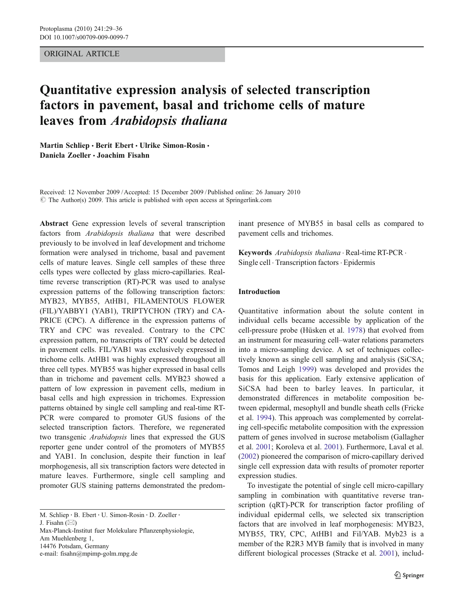## ORIGINAL ARTICLE

# Quantitative expression analysis of selected transcription factors in pavement, basal and trichome cells of mature leaves from Arabidopsis thaliana

Martin Schliep · Berit Ebert · Ulrike Simon-Rosin · Daniela Zoeller & Joachim Fisahn

Received: 12 November 2009 /Accepted: 15 December 2009 / Published online: 26 January 2010  $\circ$  The Author(s) 2009. This article is published with open access at Springerlink.com

Abstract Gene expression levels of several transcription factors from Arabidopsis thaliana that were described previously to be involved in leaf development and trichome formation were analysed in trichome, basal and pavement cells of mature leaves. Single cell samples of these three cells types were collected by glass micro-capillaries. Realtime reverse transcription (RT)-PCR was used to analyse expression patterns of the following transcription factors: MYB23, MYB55, AtHB1, FILAMENTOUS FLOWER (FIL)/YABBY1 (YAB1), TRIPTYCHON (TRY) and CA-PRICE (CPC). A difference in the expression patterns of TRY and CPC was revealed. Contrary to the CPC expression pattern, no transcripts of TRY could be detected in pavement cells. FIL/YAB1 was exclusively expressed in trichome cells. AtHB1 was highly expressed throughout all three cell types. MYB55 was higher expressed in basal cells than in trichome and pavement cells. MYB23 showed a pattern of low expression in pavement cells, medium in basal cells and high expression in trichomes. Expression patterns obtained by single cell sampling and real-time RT-PCR were compared to promoter GUS fusions of the selected transcription factors. Therefore, we regenerated two transgenic Arabidopsis lines that expressed the GUS reporter gene under control of the promoters of MYB55 and YAB1. In conclusion, despite their function in leaf morphogenesis, all six transcription factors were detected in mature leaves. Furthermore, single cell sampling and promoter GUS staining patterns demonstrated the predom-

M. Schliep : B. Ebert : U. Simon-Rosin : D. Zoeller :

J. Fisahn (*\**)

Max-Planck-Institut fuer Molekulare Pflanzenphysiologie, Am Muehlenberg 1,

14476 Potsdam, Germany

e-mail: fisahn@mpimp-golm.mpg.de

inant presence of MYB55 in basal cells as compared to pavement cells and trichomes.

Keywords Arabidopsis thaliana . Real-time RT-PCR . Single cell . Transcription factors . Epidermis

## Introduction

Quantitative information about the solute content in individual cells became accessible by application of the cell-pressure probe (Hüsken et al. [1978\)](#page-7-0) that evolved from an instrument for measuring cell–water relations parameters into a micro-sampling device. A set of techniques collectively known as single cell sampling and analysis (SiCSA; Tomos and Leigh [1999](#page-7-0)) was developed and provides the basis for this application. Early extensive application of SiCSA had been to barley leaves. In particular, it demonstrated differences in metabolite composition between epidermal, mesophyll and bundle sheath cells (Fricke et al. [1994](#page-7-0)). This approach was complemented by correlating cell-specific metabolite composition with the expression pattern of genes involved in sucrose metabolism (Gallagher et al. [2001](#page-7-0); Koroleva et al. [2001](#page-7-0)). Furthermore, Laval et al. [\(2002](#page-7-0)) pioneered the comparison of micro-capillary derived single cell expression data with results of promoter reporter expression studies.

To investigate the potential of single cell micro-capillary sampling in combination with quantitative reverse transcription (qRT)-PCR for transcription factor profiling of individual epidermal cells, we selected six transcription factors that are involved in leaf morphogenesis: MYB23, MYB55, TRY, CPC, AtHB1 and Fil/YAB. Myb23 is a member of the R2R3 MYB family that is involved in many different biological processes (Stracke et al. [2001](#page-7-0)), includ-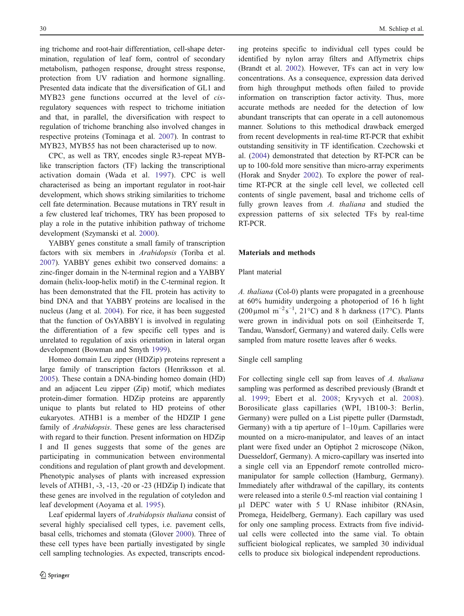ing trichome and root-hair differentiation, cell-shape determination, regulation of leaf form, control of secondary metabolism, pathogen response, drought stress response, protection from UV radiation and hormone signalling. Presented data indicate that the diversification of GL1 and MYB23 gene functions occurred at the level of cisregulatory sequences with respect to trichome initiation and that, in parallel, the diversification with respect to regulation of trichome branching also involved changes in respective proteins (Tominaga et al. [2007](#page-7-0)). In contrast to MYB23, MYB55 has not been characterised up to now.

CPC, as well as TRY, encodes single R3-repeat MYBlike transcription factors (TF) lacking the transcriptional activation domain (Wada et al. [1997\)](#page-7-0). CPC is well characterised as being an important regulator in root-hair development, which shows striking similarities to trichome cell fate determination. Because mutations in TRY result in a few clustered leaf trichomes, TRY has been proposed to play a role in the putative inhibition pathway of trichome development (Szymanski et al. [2000\)](#page-7-0).

YABBY genes constitute a small family of transcription factors with six members in Arabidopsis (Toriba et al. [2007\)](#page-7-0). YABBY genes exhibit two conserved domains: a zinc-finger domain in the N-terminal region and a YABBY domain (helix-loop-helix motif) in the C-terminal region. It has been demonstrated that the FIL protein has activity to bind DNA and that YABBY proteins are localised in the nucleus (Jang et al. [2004](#page-7-0)). For rice, it has been suggested that the function of OsYABBY1 is involved in regulating the differentiation of a few specific cell types and is unrelated to regulation of axis orientation in lateral organ development (Bowman and Smyth [1999\)](#page-6-0).

Homeo domain Leu zipper (HDZip) proteins represent a large family of transcription factors (Henriksson et al. [2005\)](#page-7-0). These contain a DNA-binding homeo domain (HD) and an adjacent Leu zipper (Zip) motif, which mediates protein-dimer formation. HDZip proteins are apparently unique to plants but related to HD proteins of other eukaryotes. ATHB1 is a member of the HDZIP I gene family of *Arabidopsis*. These genes are less characterised with regard to their function. Present information on HDZip I and II genes suggests that some of the genes are participating in communication between environmental conditions and regulation of plant growth and development. Phenotypic analyses of plants with increased expression levels of ATHB1, -3, -13, -20 or -23 (HDZip I) indicate that these genes are involved in the regulation of cotyledon and leaf development (Aoyama et al. [1995\)](#page-6-0).

Leaf epidermal layers of Arabidopsis thaliana consist of several highly specialised cell types, i.e. pavement cells, basal cells, trichomes and stomata (Glover [2000\)](#page-7-0). Three of these cell types have been partially investigated by single cell sampling technologies. As expected, transcripts encoding proteins specific to individual cell types could be identified by nylon array filters and Affymetrix chips (Brandt et al. [2002\)](#page-7-0). However, TFs can act in very low concentrations. As a consequence, expression data derived from high throughput methods often failed to provide information on transcription factor activity. Thus, more accurate methods are needed for the detection of low abundant transcripts that can operate in a cell autonomous manner. Solutions to this methodical drawback emerged from recent developments in real-time RT-PCR that exhibit outstanding sensitivity in TF identification. Czechowski et al. ([2004\)](#page-7-0) demonstrated that detection by RT-PCR can be up to 100-fold more sensitive than micro-array experiments (Horak and Snyder [2002\)](#page-7-0). To explore the power of realtime RT-PCR at the single cell level, we collected cell contents of single pavement, basal and trichome cells of fully grown leaves from A. thaliana and studied the expression patterns of six selected TFs by real-time RT-PCR.

#### Materials and methods

#### Plant material

A. thaliana (Col-0) plants were propagated in a greenhouse at 60% humidity undergoing a photoperiod of 16 h light (200µmol m<sup>-2</sup>s<sup>-1</sup>, 21°C) and 8 h darkness (17°C). Plants were grown in individual pots on soil (Einheitserde T, Tandau, Wansdorf, Germany) and watered daily. Cells were sampled from mature rosette leaves after 6 weeks.

#### Single cell sampling

For collecting single cell sap from leaves of A. thaliana sampling was performed as described previously (Brandt et al. [1999;](#page-7-0) Ebert et al. [2008](#page-7-0); Kryvych et al. [2008](#page-7-0)). Borosilicate glass capillaries (WPI, 1B100-3: Berlin, Germany) were pulled on a List pipette puller (Darmstadt, Germany) with a tip aperture of  $1-10 \mu m$ . Capillaries were mounted on a micro-manipulator, and leaves of an intact plant were fixed under an Optiphot 2 microscope (Nikon, Duesseldorf, Germany). A micro-capillary was inserted into a single cell via an Eppendorf remote controlled micromanipulator for sample collection (Hamburg, Germany). Immediately after withdrawal of the capillary, its contents were released into a sterile 0.5-ml reaction vial containing 1 µl DEPC water with 5 U RNase inhibitor (RNAsin, Promega, Heidelberg, Germany). Each capillary was used for only one sampling process. Extracts from five individual cells were collected into the same vial. To obtain sufficient biological replicates, we sampled 30 individual cells to produce six biological independent reproductions.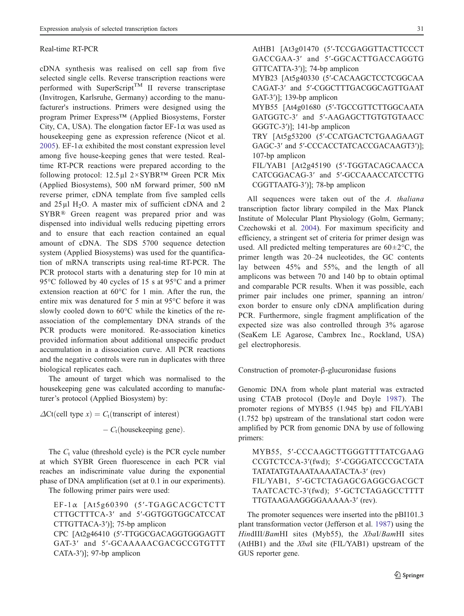#### Real-time RT-PCR

cDNA synthesis was realised on cell sap from five selected single cells. Reverse transcription reactions were performed with SuperScript<sup>TM</sup> II reverse transcriptase (Invitrogen, Karlsruhe, Germany) according to the manufacturer's instructions. Primers were designed using the program Primer Express™ (Applied Biosystems, Forster City, CA, USA). The elongation factor  $EF-1\alpha$  was used as housekeeping gene as expression reference (Nicot et al. [2005](#page-7-0)). EF-1 $\alpha$  exhibited the most constant expression level among five house-keeping genes that were tested. Realtime RT-PCR reactions were prepared according to the following protocol:  $12.5 \mu$ l  $2 \times SYBR^{TM}$  Green PCR Mix (Applied Biosystems), 500 nM forward primer, 500 nM reverse primer, cDNA template from five sampled cells and  $25 \mu$ l H<sub>2</sub>O. A master mix of sufficient cDNA and 2 SYBR® Green reagent was prepared prior and was dispensed into individual wells reducing pipetting errors and to ensure that each reaction contained an equal amount of cDNA. The SDS 5700 sequence detection system (Applied Biosystems) was used for the quantification of mRNA transcripts using real-time RT-PCR. The PCR protocol starts with a denaturing step for 10 min at 95°C followed by 40 cycles of 15 s at 95°C and a primer extension reaction at 60°C for 1 min. After the run, the entire mix was denatured for 5 min at 95°C before it was slowly cooled down to 60°C while the kinetics of the reassociation of the complementary DNA strands of the PCR products were monitored. Re-association kinetics provided information about additional unspecific product accumulation in a dissociation curve. All PCR reactions and the negative controls were run in duplicates with three biological replicates each.

The amount of target which was normalised to the housekeeping gene was calculated according to manufacturer's protocol (Applied Biosystem) by:

 $\Delta$ Ct(cell type  $x$ ) = C<sub>t</sub>(transcript of interest)

 $-C_t$ (housekeeping gene).

The  $C_t$  value (threshold cycle) is the PCR cycle number at which SYBR Green fluorescence in each PCR vial reaches an indiscriminate value during the exponential phase of DNA amplification (set at 0.1 in our experiments).

The following primer pairs were used:

EF-1α [At5g60390 (5′-TGAGCACGCTCTT CTTGCTTTCA-3′ and 5′-GGTGGTGGCATCCAT CTTGTTACA-3′)]; 75-bp amplicon CPC [At2g46410 (5′-TTGGCGACAGGTGGGAGTT GAT-3′ and 5′-GCAAAAACGACGCCGTGTTT CATA-3′)]; 97-bp amplicon

AtHB1 [At3g01470 (5'-TCCGAGGTTACTTCCCT GACCGAA-3′ and 5′-GGCACTTGACCAGGTG GTTCATTA-3′)]; 74-bp amplicon MYB23 [At5g40330 (5′-CACAAGCTCCTCGGCAA CAGAT-3′ and 5′-CGGCTTTGACGGCAGTTGAAT GAT-3′)]; 139-bp amplicon MYB55 [At4g01680 (5′-TGCCGTTCTTGGCAATA GATGGTC-3′ and 5′-AAGAGCTTGTGTGTAACC GGGTC-3′)]; 141-bp amplicon TRY [At5g53200 (5′-CCATGACTCTGAAGAAGT GAGC-3′ and 5′-CCCACCTATCACCGACAAGT3′)]; 107-bp amplicon FIL/YAB1 [At2g45190 (5′-TGGTACAGCAACCA CATCGGACAG-3′ and 5′-GCCAAACCATCCTTG CGGTTAATG-3′)]; 78-bp amplicon

All sequences were taken out of the A. thaliana transcription factor library compiled in the Max Planck Institute of Molecular Plant Physiology (Golm, Germany; Czechowski et al. [2004\)](#page-7-0). For maximum specificity and efficiency, a stringent set of criteria for primer design was used. All predicted melting temperatures are  $60 \pm 2^{\circ}$ C, the primer length was 20–24 nucleotides, the GC contents lay between 45% and 55%, and the length of all amplicons was between 70 and 140 bp to obtain optimal and comparable PCR results. When it was possible, each primer pair includes one primer, spanning an intron/ exon border to ensure only cDNA amplification during PCR. Furthermore, single fragment amplification of the expected size was also controlled through 3% agarose (SeaKem LE Agarose, Cambrex Inc., Rockland, USA) gel electrophoresis.

Construction of promoter-β-glucuronidase fusions

Genomic DNA from whole plant material was extracted using CTAB protocol (Doyle and Doyle [1987](#page-7-0)). The promoter regions of MYB55 (1.945 bp) and FIL/YAB1 (1.752 bp) upstream of the translational start codon were amplified by PCR from genomic DNA by use of following primers:

MYB55, 5′-CCCAAGCTTGGGTTTTATCGAAG CCGTCTCCA-3′(fwd); 5′-CGGGATCCCGCTATA TATATATGTAAATAAAATACTA-3′ (rev) FIL/YAB1, 5′-GCTCTAGAGCGAGGCGACGCT TAATCACTC-3′(fwd); 5′-GCTCTAGAGCCTTTT TTGTAAGAAGGGGAAAAA-3′ (rev).

The promoter sequences were inserted into the pBI101.3 plant transformation vector (Jefferson et al. [1987\)](#page-7-0) using the HindIII/BamHI sites (Myb55), the XbaI/BamHI sites (AtHB1) and the XbaI site (FIL/YAB1) upstream of the GUS reporter gene.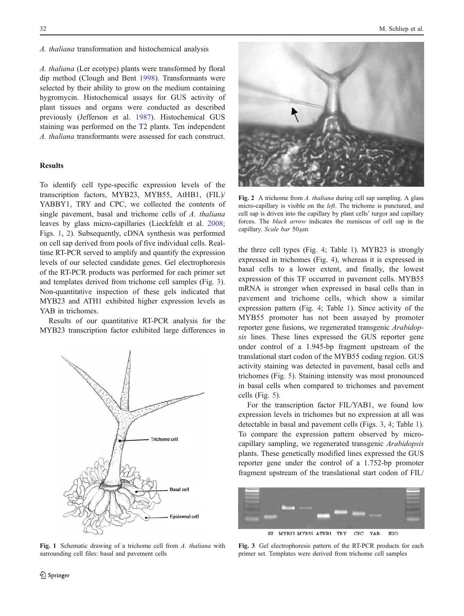#### <span id="page-3-0"></span>A. thaliana transformation and histochemical analysis

A. thaliana (Ler ecotype) plants were transformed by floral dip method (Clough and Bent [1998](#page-7-0)). Transformants were selected by their ability to grow on the medium containing hygromycin. Histochemical assays for GUS activity of plant tissues and organs were conducted as described previously (Jefferson et al. [1987\)](#page-7-0). Histochemical GUS staining was performed on the T2 plants. Ten independent A. thaliana transformants were assessed for each construct.

### **Results**

To identify cell type-specific expression levels of the transcription factors, MYB23, MYB55, AtHB1, (FIL)/ YABBY1, TRY and CPC, we collected the contents of single pavement, basal and trichome cells of A. thaliana leaves by glass micro-capillaries (Lieckfeldt et al. [2008](#page-7-0); Figs. 1, 2). Subsequently, cDNA synthesis was performed on cell sap derived from pools of five individual cells. Realtime RT-PCR served to amplify and quantify the expression levels of our selected candidate genes. Gel electrophoresis of the RT-PCR products was performed for each primer set and templates derived from trichome cell samples (Fig. 3). Non-quantitative inspection of these gels indicated that MYB23 and ATH1 exhibited higher expression levels as YAB in trichomes.

Results of our quantitative RT-PCR analysis for the MYB23 transcription factor exhibited large differences in



Fig. 1 Schematic drawing of a trichome cell from A. thaliana with surrounding cell files: basal and pavement cells



Fig. 2 A trichome from A. thaliana during cell sap sampling. A glass micro-capillary is visible on the left. The trichome is punctured, and cell sap is driven into the capillary by plant cells' turgor and capillary forces. The black arrow indicates the meniscus of cell sap in the capillary. Scale bar 50µm

the three cell types (Fig. [4](#page-4-0); Table [1\)](#page-4-0). MYB23 is strongly expressed in trichomes (Fig. [4\)](#page-4-0), whereas it is expressed in basal cells to a lower extent, and finally, the lowest expression of this TF occurred in pavement cells. MYB55 mRNA is stronger when expressed in basal cells than in pavement and trichome cells, which show a similar expression pattern (Fig. [4](#page-4-0); Table [1](#page-4-0)). Since activity of the MYB55 promoter has not been assayed by promoter reporter gene fusions, we regenerated transgenic Arabidopsis lines. These lines expressed the GUS reporter gene under control of a 1.945-bp fragment upstream of the translational start codon of the MYB55 coding region. GUS activity staining was detected in pavement, basal cells and trichomes (Fig. [5\)](#page-4-0). Staining intensity was most pronounced in basal cells when compared to trichomes and pavement cells (Fig. [5\)](#page-4-0).

For the transcription factor FIL/YAB1, we found low expression levels in trichomes but no expression at all was detectable in basal and pavement cells (Figs. 3, [4](#page-4-0); Table [1\)](#page-4-0). To compare the expression pattern observed by microcapillary sampling, we regenerated transgenic Arabidopsis plants. These genetically modified lines expressed the GUS reporter gene under the control of a 1.752-bp promoter fragment upstream of the translational start codon of FIL/



Fig. 3 Gel electrophoresis pattern of the RT-PCR products for each primer set. Templates were derived from trichome cell samples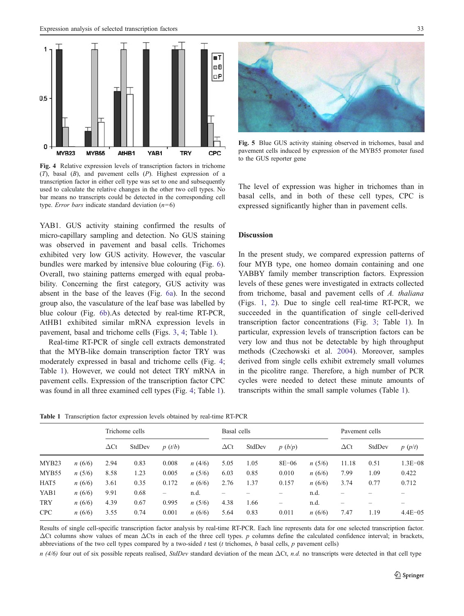<span id="page-4-0"></span>

Fig. 4 Relative expression levels of transcription factors in trichome  $(T)$ , basal  $(B)$ , and pavement cells  $(P)$ . Highest expression of a transcription factor in either cell type was set to one and subsequently used to calculate the relative changes in the other two cell types. No bar means no transcripts could be detected in the corresponding cell type. *Error bars* indicate standard deviation  $(n=6)$ 

YAB1. GUS activity staining confirmed the results of micro-capillary sampling and detection. No GUS staining was observed in pavement and basal cells. Trichomes exhibited very low GUS activity. However, the vascular bundles were marked by intensive blue colouring (Fig. [6](#page-5-0)). Overall, two staining patterns emerged with equal probability. Concerning the first category, GUS activity was absent in the base of the leaves (Fig. [6a](#page-5-0)). In the second group also, the vasculature of the leaf base was labelled by blue colour (Fig. [6b\)](#page-5-0).As detected by real-time RT-PCR, AtHB1 exhibited similar mRNA expression levels in pavement, basal and trichome cells (Figs. [3](#page-3-0), 4; Table 1).

Real-time RT-PCR of single cell extracts demonstrated that the MYB-like domain transcription factor TRY was moderately expressed in basal and trichome cells (Fig. 4; Table 1). However, we could not detect TRY mRNA in pavement cells. Expression of the transcription factor CPC was found in all three examined cell types (Fig. 4; Table 1).



Fig. 5 Blue GUS activity staining observed in trichomes, basal and pavement cells induced by expression of the MYB55 promoter fused to the GUS reporter gene

The level of expression was higher in trichomes than in basal cells, and in both of these cell types, CPC is expressed significantly higher than in pavement cells.

## Discussion

In the present study, we compared expression patterns of four MYB type, one homeo domain containing and one YABBY family member transcription factors. Expression levels of these genes were investigated in extracts collected from trichome, basal and pavement cells of A. thaliana (Figs. [1,](#page-3-0) [2](#page-3-0)). Due to single cell real-time RT-PCR, we succeeded in the quantification of single cell-derived transcription factor concentrations (Fig. [3](#page-3-0); Table 1). In particular, expression levels of transcription factors can be very low and thus not be detectable by high throughput methods (Czechowski et al. [2004](#page-7-0)). Moreover, samples derived from single cells exhibit extremely small volumes in the picolitre range. Therefore, a high number of PCR cycles were needed to detect these minute amounts of transcripts within the small sample volumes (Table 1).

|                   |        | Trichome cells |        |                   |        | Basal cells |        |           |        | Pavement cells |        |             |
|-------------------|--------|----------------|--------|-------------------|--------|-------------|--------|-----------|--------|----------------|--------|-------------|
|                   |        | $\Delta$ Ct    | StdDev | p(t/b)            |        | $\Delta$ Ct | StdDev | p(b/p)    |        | $\Delta$ Ct    | StdDev | p(p/t)      |
| MYB <sub>23</sub> | n(6/6) | 2.94           | 0.83   | 0.008             | n(4/6) | 5.05        | 1.05   | $8E - 06$ | n(5/6) | 11.18          | 0.51   | $1.3E - 08$ |
| MYB55             | n(5/6) | 8.58           | 1.23   | 0.005             | n(5/6) | 6.03        | 0.85   | 0.010     | n(6/6) | 7.99           | 1.09   | 0.422       |
| HAT5              | n(6/6) | 3.61           | 0.35   | 0.172             | n(6/6) | 2.76        | 1.37   | 0.157     | n(6/6) | 3.74           | 0.77   | 0.712       |
| YAB1              | n(6/6) | 9.91           | 0.68   | $\qquad \qquad -$ | n.d.   |             |        |           | n.d.   |                |        |             |
| <b>TRY</b>        | n(6/6) | 4.39           | 0.67   | 0.995             | n(5/6) | 4.38        | 1.66   | -         | n.d.   |                |        |             |
| <b>CPC</b>        | n(6/6) | 3.55           | 0.74   | 0.001             | n(6/6) | 5.64        | 0.83   | 0.011     | n(6/6) | 7.47           | 1.19   | $4.4E - 05$ |
|                   |        |                |        |                   |        |             |        |           |        |                |        |             |

Table 1 Transcription factor expression levels obtained by real-time RT-PCR

Results of single cell-specific transcription factor analysis by real-time RT-PCR. Each line represents data for one selected transcription factor.  $\Delta$ Ct columns show values of mean  $\Delta$ Cts in each of the three cell types. p columns define the calculated confidence interval; in brackets, abbreviations of the two cell types compared by a two-sided  $t$  test ( $t$  trichomes,  $b$  basal cells,  $p$  pavement cells)

 $n$  (4/6) four out of six possible repeats realised, StdDev standard deviation of the mean  $\Delta Ct$ , n.d. no transcripts were detected in that cell type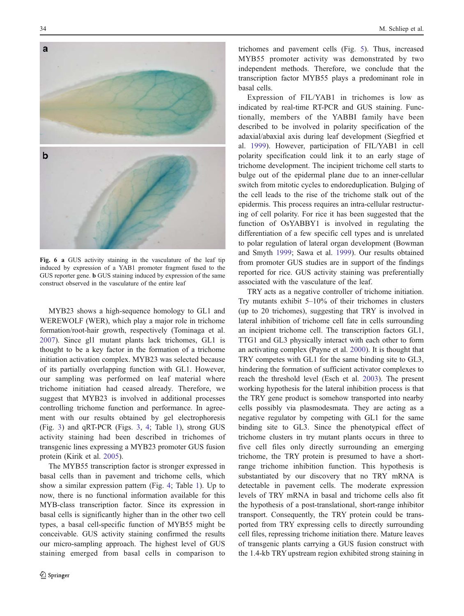<span id="page-5-0"></span>

Fig. 6 a GUS activity staining in the vasculature of the leaf tip induced by expression of a YAB1 promoter fragment fused to the GUS reporter gene. b GUS staining induced by expression of the same construct observed in the vasculature of the entire leaf

MYB23 shows a high-sequence homology to GL1 and WEREWOLF (WER), which play a major role in trichome formation/root-hair growth, respectively (Tominaga et al. [2007\)](#page-7-0). Since gl1 mutant plants lack trichomes, GL1 is thought to be a key factor in the formation of a trichome initiation activation complex. MYB23 was selected because of its partially overlapping function with GL1. However, our sampling was performed on leaf material where trichome initiation had ceased already. Therefore, we suggest that MYB23 is involved in additional processes controlling trichome function and performance. In agreement with our results obtained by gel electrophoresis (Fig. [3](#page-3-0)) and qRT-PCR (Figs. [3](#page-3-0), [4](#page-4-0); Table [1](#page-4-0)), strong GUS activity staining had been described in trichomes of transgenic lines expressing a MYB23 promoter GUS fusion protein (Kirik et al. [2005\)](#page-7-0).

The MYB55 transcription factor is stronger expressed in basal cells than in pavement and trichome cells, which show a similar expression pattern (Fig. [4](#page-4-0); Table [1](#page-4-0)). Up to now, there is no functional information available for this MYB-class transcription factor. Since its expression in basal cells is significantly higher than in the other two cell types, a basal cell-specific function of MYB55 might be conceivable. GUS activity staining confirmed the results our micro-sampling approach. The highest level of GUS staining emerged from basal cells in comparison to

trichomes and pavement cells (Fig. [5\)](#page-4-0). Thus, increased MYB55 promoter activity was demonstrated by two independent methods. Therefore, we conclude that the transcription factor MYB55 plays a predominant role in basal cells.

Expression of FIL/YAB1 in trichomes is low as indicated by real-time RT-PCR and GUS staining. Functionally, members of the YABBI family have been described to be involved in polarity specification of the adaxial/abaxial axis during leaf development (Siegfried et al. [1999\)](#page-7-0). However, participation of FIL/YAB1 in cell polarity specification could link it to an early stage of trichome development. The incipient trichome cell starts to bulge out of the epidermal plane due to an inner-cellular switch from mitotic cycles to endoreduplication. Bulging of the cell leads to the rise of the trichome stalk out of the epidermis. This process requires an intra-cellular restructuring of cell polarity. For rice it has been suggested that the function of OsYABBY1 is involved in regulating the differentiation of a few specific cell types and is unrelated to polar regulation of lateral organ development (Bowman and Smyth [1999](#page-6-0); Sawa et al. [1999](#page-7-0)). Our results obtained from promoter GUS studies are in support of the findings reported for rice. GUS activity staining was preferentially associated with the vasculature of the leaf.

TRY acts as a negative controller of trichome initiation. Try mutants exhibit 5–10% of their trichomes in clusters (up to 20 trichomes), suggesting that TRY is involved in lateral inhibition of trichome cell fate in cells surrounding an incipient trichome cell. The transcription factors GL1, TTG1 and GL3 physically interact with each other to form an activating complex (Payne et al. [2000\)](#page-7-0). It is thought that TRY competes with GL1 for the same binding site to GL3, hindering the formation of sufficient activator complexes to reach the threshold level (Esch et al. [2003\)](#page-7-0). The present working hypothesis for the lateral inhibition process is that the TRY gene product is somehow transported into nearby cells possibly via plasmodesmata. They are acting as a negative regulator by competing with GL1 for the same binding site to GL3. Since the phenotypical effect of trichome clusters in try mutant plants occurs in three to five cell files only directly surrounding an emerging trichome, the TRY protein is presumed to have a shortrange trichome inhibition function. This hypothesis is substantiated by our discovery that no TRY mRNA is detectable in pavement cells. The moderate expression levels of TRY mRNA in basal and trichome cells also fit the hypothesis of a post-translational, short-range inhibitor transport. Consequently, the TRY protein could be transported from TRY expressing cells to directly surrounding cell files, repressing trichome initiation there. Mature leaves of transgenic plants carrying a GUS fusion construct with the 1.4-kb TRY upstream region exhibited strong staining in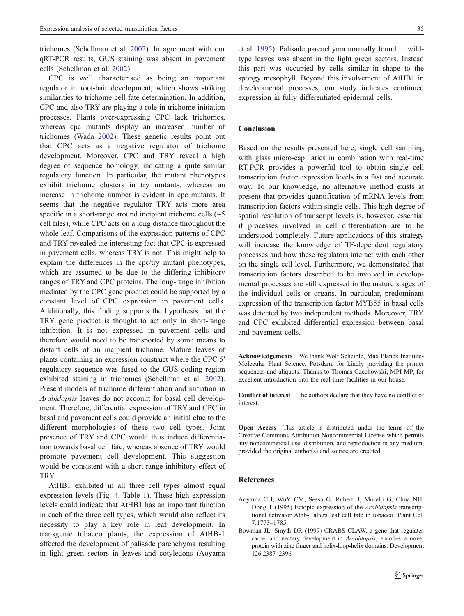<span id="page-6-0"></span>trichomes (Schellman et al. [2002](#page-7-0)). In agreement with our qRT-PCR results, GUS staining was absent in pavement cells (Schellman et al. [2002\)](#page-7-0).

CPC is well characterised as being an important regulator in root-hair development, which shows striking similarities to trichome cell fate determination. In addition, CPC and also TRY are playing a role in trichome initiation processes. Plants over-expressing CPC lack trichomes, whereas cpc mutants display an increased number of trichomes (Wada [2002](#page-7-0)). These genetic results point out that CPC acts as a negative regulator of trichome development. Moreover, CPC and TRY reveal a high degree of sequence homology, indicating a quite similar regulatory function. In particular, the mutant phenotypes exhibit trichome clusters in try mutants, whereas an increase in trichome number is evident in cpc mutants. It seems that the negative regulator TRY acts more area specific in a short-range around incipient trichome cells (∼5 cell files), while CPC acts on a long distance throughout the whole leaf. Comparisons of the expression patterns of CPC and TRY revealed the interesting fact that CPC is expressed in pavement cells, whereas TRY is not. This might help to explain the differences in the cpc/try mutant phenotypes, which are assumed to be due to the differing inhibitory ranges of TRY and CPC proteins. The long-range inhibition mediated by the CPC gene product could be supported by a constant level of CPC expression in pavement cells. Additionally, this finding supports the hypothesis that the TRY gene product is thought to act only in short-range inhibition. It is not expressed in pavement cells and therefore would need to be transported by some means to distant cells of an incipient trichome. Mature leaves of plants containing an expression construct where the CPC 5′ regulatory sequence was fused to the GUS coding region exhibited staining in trichomes (Schellman et al. [2002](#page-7-0)). Present models of trichome differentiation and initiation in Arabidopsis leaves do not account for basal cell development. Therefore, differential expression of TRY and CPC in basal and pavement cells could provide an initial clue to the different morphologies of these two cell types. Joint presence of TRY and CPC would thus induce differentiation towards basal cell fate, whereas absence of TRY would promote pavement cell development. This suggestion would be consistent with a short-range inhibitory effect of TRY.

AtHB1 exhibited in all three cell types almost equal expression levels (Fig. [4,](#page-4-0) Table [1](#page-4-0)). These high expression levels could indicate that AtHB1 has an important function in each of the three cell types, which would also reflect its necessity to play a key role in leaf development. In transgenic tobacco plants, the expression of AtHB-1 affected the development of palisade parenchyma resulting in light green sectors in leaves and cotyledons (Aoyama

et al. 1995). Palisade parenchyma normally found in wildtype leaves was absent in the light green sectors. Instead this part was occupied by cells similar in shape to the spongy mesophyll. Beyond this involvement of AtHB1 in developmental processes, our study indicates continued expression in fully differentiated epidermal cells.

## Conclusion

Based on the results presented here, single cell sampling with glass micro-capillaries in combination with real-time RT-PCR provides a powerful tool to obtain single cell transcription factor expression levels in a fast and accurate way. To our knowledge, no alternative method exists at present that provides quantification of mRNA levels from transcription factors within single cells. This high degree of spatial resolution of transcript levels is, however, essential if processes involved in cell differentiation are to be understood completely. Future applications of this strategy will increase the knowledge of TF-dependent regulatory processes and how these regulators interact with each other on the single cell level. Furthermore, we demonstrated that transcription factors described to be involved in developmental processes are still expressed in the mature stages of the individual cells or organs. In particular, predominant expression of the transcription factor MYB55 in basal cells was detected by two independent methods. Moreover, TRY and CPC exhibited differential expression between basal and pavement cells.

Acknowledgements We thank Wolf Scheible, Max Planck Institute-Molecular Plant Science, Potsdam, for kindly providing the primer sequences and aliquots. Thanks to Thomas Czechowski, MPI-MP, for excellent introduction into the real-time facilities in our house.

Conflict of interest The authors declare that they have no conflict of interest.

Open Access This article is distributed under the terms of the Creative Commons Attribution Noncommercial License which permits any noncommercial use, distribution, and reproduction in any medium, provided the original author(s) and source are credited.

#### References

- Aoyama CH, WuY CM, Sessa G, Ruberti I, Morelli G, Chua NH, Dong T (1995) Ectopic expression of the *Arabidopsis* transcriptional activator Athb-I alters leaf cell fate in tobacco. Plant Cell 7:1773–1785
- Bowman JL, Smyth DR (1999) CRABS CLAW, a gene that regulates carpel and nectary development in Arabidopsis, encodes a novel protein with zinc finger and helix-loop-helix domains. Development 126:2387–2396